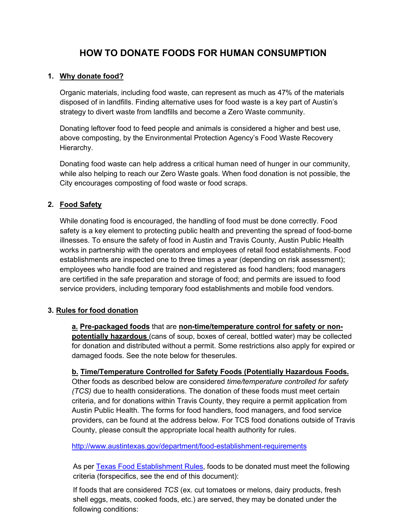# **HOW TO DONATE FOODS FOR HUMAN CONSUMPTION**

#### **1. Why donate food?**

Organic materials, including food waste, can represent as much as 47% of the materials disposed of in landfills. Finding alternative uses for food waste is a key part of Austin's strategy to divert waste from landfills and become a Zero Waste community.

Donating leftover food to feed people and animals is considered a higher and best use, above composting, by the Environmental Protection Agency's Food Waste Recovery Hierarchy.

Donating food waste can help address a critical human need of hunger in our community, while also helping to reach our Zero Waste goals. When food donation is not possible, the City encourages composting of food waste or food scraps.

## **2. Food Safety**

While donating food is encouraged, the handling of food must be done correctly. Food safety is a key element to protecting public health and preventing the spread of food-borne illnesses. To ensure the safety of food in Austin and Travis County, Austin Public Health works in partnership with the operators and employees of retail food establishments. Food establishments are inspected one to three times a year (depending on risk assessment); employees who handle food are trained and registered as food handlers; food managers are certified in the safe preparation and storage of food; and permits are issued to food service providers, including temporary food establishments and mobile food vendors.

## **3. Rules for food donation**

**a. Pre-packaged foods** that are **non-time/temperature control for safety or nonpotentially hazardous** (cans of soup, boxes of cereal, bottled water) may be collected for donation and distributed without a permit. Some restrictions also apply for expired or damaged foods. See the note below for theserules.

**b. Time/Temperature Controlled for Safety Foods (Potentially Hazardous Foods.**

Other foods as described below are considered *time/temperature controlled for safety (TCS)* due to health considerations. The donation of these foods must meet certain criteria, and for donations within Travis County, they require a permit application from Austin Public Health. The forms for food handlers, food managers, and food service providers, can be found at the address below. For TCS food donations outside of Travis County, please consult the appropriate local health authority for rules.

<http://www.austintexas.gov/department/food-establishment-requirements>

As per **Texas Food [Establishment](http://www.austintexas.gov/department/food-establishment-requirements) Rules**, foods to be donated must meet the following criteria (forspecifics, see the end of this document):

If foods that are considered *TCS* (ex. cut tomatoes or melons, dairy products, fresh shell eggs, meats, cooked foods, etc.) are served, they may be donated under the following conditions: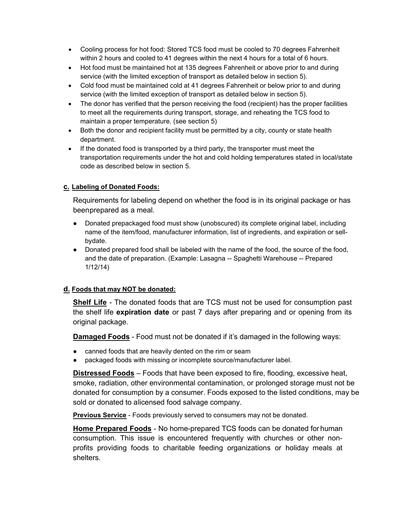- Cooling process for hot food: Stored TCS food must be cooled to 70 degrees Fahrenheit within 2 hours and cooled to 41 degrees within the next 4 hours for a total of 6 hours.
- Hot food must be maintained hot at 135 degrees Fahrenheit or above prior to and during service (with the limited exception of transport as detailed below in section 5).
- Cold food must be maintained cold at 41 degrees Fahrenheit or below prior to and during service (with the limited exception of transport as detailed below in section 5).
- The donor has verified that the person receiving the food (recipient) has the proper facilities to meet all the requirements during transport, storage, and reheating the TCS food to maintain a proper temperature. (see section 5)
- Both the donor and recipient facility must be permitted by a city, county or state health department.
- If the donated food is transported by a third party, the transporter must meet the transportation requirements under the hot and cold holding temperatures stated in local/state code as described below in section 5.

#### **c. Labeling of Donated Foods:**

Requirements for labeling depend on whether the food is in its original package or has beenprepared as a meal.

- Donated prepackaged food must show (unobscured) its complete original label, including name of the item/food, manufacturer information, list of ingredients, and expiration or sellbydate.
- Donated prepared food shall be labeled with the name of the food, the source of the food, and the date of preparation. (Example: Lasagna -- Spaghetti Warehouse -- Prepared 1/12/14)

#### **d. Foods that may NOT be donated:**

**Shelf Life** - The donated foods that are TCS must not be used for consumption past the shelf life **expiration date** or past 7 days after preparing and or opening from its original package.

**Damaged Foods** - Food must not be donated if it's damaged in the following ways:

- canned foods that are heavily dented on the rim or seam
- packaged foods with missing or incomplete source/manufacturer label.

**Distressed Foods** – Foods that have been exposed to fire, flooding, excessive heat, smoke, radiation, other environmental contamination, or prolonged storage must not be donated for consumption by a consumer. Foods exposed to the listed conditions, may be sold or donated to alicensed food salvage company.

**Previous Service** - Foods previously served to consumers may not be donated.

**Home Prepared Foods** - No home-prepared TCS foods can be donated for human consumption. This issue is encountered frequently with churches or other nonprofits providing foods to charitable feeding organizations or holiday meals at shelters.